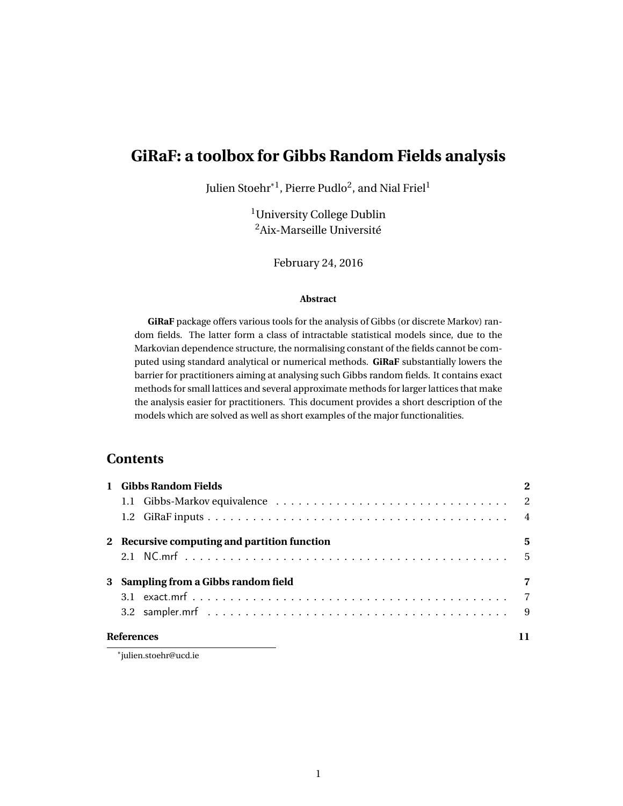# <span id="page-0-0"></span>**GiRaF: a toolbox for Gibbs Random Fields analysis**

Julien Stoehr $^{\ast1}$ , Pierre Pudlo $^2$ , and Nial Friel $^1$ 

<sup>1</sup>University College Dublin <sup>2</sup>Aix-Marseille Université

February 24, 2016

#### **Abstract**

**GiRaF** package offers various tools for the analysis of Gibbs (or discrete Markov) random fields. The latter form a class of intractable statistical models since, due to the Markovian dependence structure, the normalising constant of the fields cannot be computed using standard analytical or numerical methods. **GiRaF** substantially lowers the barrier for practitioners aiming at analysing such Gibbs random fields. It contains exact methods for small lattices and several approximate methods for larger lattices that make the analysis easier for practitioners. This document provides a short description of the models which are solved as well as short examples of the major functionalities.

# **Contents**

| <b>Gibbs Random Fields</b>                   | $\mathbf{2}$ |
|----------------------------------------------|--------------|
|                                              |              |
|                                              |              |
| 2 Recursive computing and partition function | 5            |
|                                              |              |
| 3 Sampling from a Gibbs random field         | 7            |
|                                              |              |
|                                              |              |
| <b>References</b>                            |              |

\*julien.stoehr@ucd.ie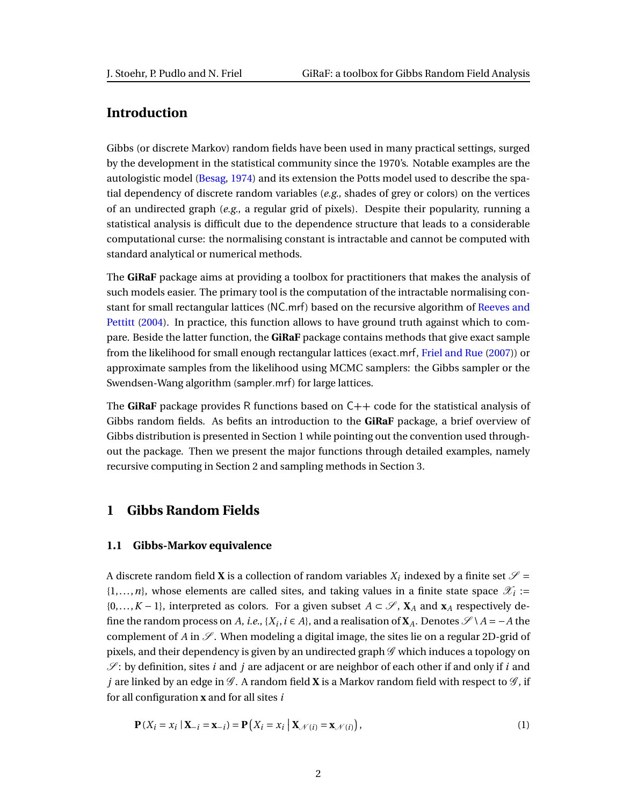# **Introduction**

Gibbs (or discrete Markov) random fields have been used in many practical settings, surged by the development in the statistical community since the 1970's. Notable examples are the autologistic model [\(Besag,](#page-10-1) [1974\)](#page-10-1) and its extension the Potts model used to describe the spatial dependency of discrete random variables (*e.g.*, shades of grey or colors) on the vertices of an undirected graph (*e.g.*, a regular grid of pixels). Despite their popularity, running a statistical analysis is difficult due to the dependence structure that leads to a considerable computational curse: the normalising constant is intractable and cannot be computed with standard analytical or numerical methods.

The **GiRaF** package aims at providing a toolbox for practitioners that makes the analysis of such models easier. The primary tool is the computation of the intractable normalising constant for small rectangular lattices ([NC.mrf](#page-4-1)) based on the recursive algorithm of [Reeves and](#page-10-2) [Pettitt](#page-10-2) [\(2004\)](#page-10-2). In practice, this function allows to have ground truth against which to compare. Beside the latter function, the **GiRaF** package contains methods that give exact sample from the likelihood for small enough rectangular lattices ([exact.mrf](#page-6-1), [Friel and Rue](#page-10-3) [\(2007\)](#page-10-3)) or approximate samples from the likelihood using MCMC samplers: the Gibbs sampler or the Swendsen-Wang algorithm ([sampler.mrf](#page-8-0)) for large lattices.

The **GiRaF** package provides R functions based on C++ code for the statistical analysis of Gibbs random fields. As befits an introduction to the **GiRaF** package, a brief overview of Gibbs distribution is presented in Section [1](#page-1-0) while pointing out the convention used throughout the package. Then we present the major functions through detailed examples, namely recursive computing in Section [2](#page-4-0) and sampling methods in Section [3.](#page-6-0)

# <span id="page-1-0"></span>**1 Gibbs Random Fields**

#### <span id="page-1-1"></span>**1.1 Gibbs-Markov equivalence**

A discrete random field **X** is a collection of random variables  $X_i$  indexed by a finite set  $\mathscr{S} =$  $\{1,\ldots,n\}$ , whose elements are called sites, and taking values in a finite state space  $\mathscr{X}_i$  :=  $\{0,\ldots,K-1\}$ , interpreted as colors. For a given subset  $A \subset \mathscr{S}$ ,  $X_A$  and  $X_A$  respectively define the random process on *A*, *i.e.*, { $X_i$ , *i*  $\in$  *A*}, and a realisation of  $X_A$ . Denotes  $\mathscr{S} \setminus A = -A$  the complement of *A* in  $\mathscr{S}$ . When modeling a digital image, the sites lie on a regular 2D-grid of pixels, and their dependency is given by an undirected graph  $\mathscr G$  which induces a topology on  $\mathscr{S}$ : by definition, sites *i* and *j* are adjacent or are neighbor of each other if and only if *i* and *j* are linked by an edge in  $\mathscr{G}$ . A random field **X** is a Markov random field with respect to  $\mathscr{G}$ , if for all configuration **x** and for all sites *i*

$$
\mathbf{P}(X_i = x_i \mid \mathbf{X}_{-i} = \mathbf{x}_{-i}) = \mathbf{P}\left(X_i = x_i \mid \mathbf{X}_{\mathcal{N}(i)} = \mathbf{x}_{\mathcal{N}(i)}\right),\tag{1}
$$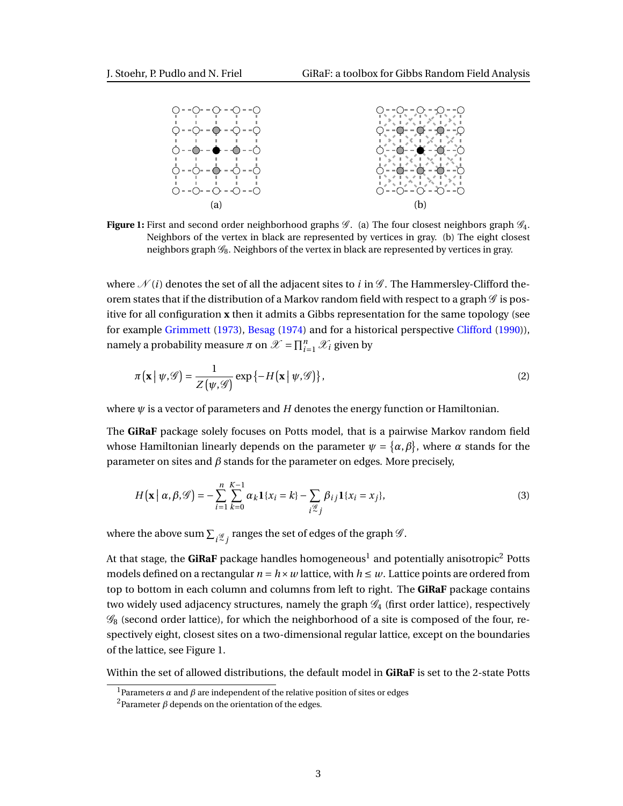<span id="page-2-0"></span>

**Figure 1:** First and second order neighborhood graphs  $\mathscr{G}$ . (a) The four closest neighbors graph  $\mathscr{G}_4$ . Neighbors of the vertex in black are represented by vertices in gray. (b) The eight closest neighbors graph  $\mathcal{G}_8$ . Neighbors of the vertex in black are represented by vertices in gray.

where  $\mathcal{N}(i)$  denotes the set of all the adjacent sites to *i* in  $\mathcal{G}$ . The Hammersley-Clifford theorem states that if the distribution of a Markov random field with respect to a graph  $\mathscr G$  is positive for all configuration **x** then it admits a Gibbs representation for the same topology (see for example [Grimmett](#page-10-4) [\(1973\)](#page-10-4), [Besag](#page-10-1) [\(1974\)](#page-10-1) and for a historical perspective [Clifford](#page-10-5) [\(1990\)](#page-10-5)), namely a probability measure  $\pi$  on  $\mathscr{X} = \prod_{i=1}^{n} \mathscr{X}_i$  given by

<span id="page-2-2"></span>
$$
\pi(\mathbf{x} \mid \psi, \mathcal{G}) = \frac{1}{Z(\psi, \mathcal{G})} \exp\{-H(\mathbf{x} \mid \psi, \mathcal{G})\},\tag{2}
$$

where  $\psi$  is a vector of parameters and  $H$  denotes the energy function or Hamiltonian.

The **GiRaF** package solely focuses on Potts model, that is a pairwise Markov random field whose Hamiltonian linearly depends on the parameter  $\psi = {\alpha, \beta}$ , where  $\alpha$  stands for the parameter on sites and *β* stands for the parameter on edges. More precisely,

<span id="page-2-1"></span>
$$
H\left(\mathbf{x} \mid \alpha, \beta, \mathcal{G}\right) = -\sum_{i=1}^{n} \sum_{k=0}^{K-1} \alpha_k \mathbf{1}\{x_i = k\} - \sum_{i \stackrel{\mathcal{G}}{=} j} \beta_{ij} \mathbf{1}\{x_i = x_j\},\tag{3}
$$

where the above sum  $\sum_{i \stackrel{\mathscr{G}}{>} i}$  ranges the set of edges of the graph  $\mathscr{G}.$ 

At that stage, the  $\bm{{\sf GiRaF}}$  package handles homogeneous $^1$  $^1$  and potentially anisotropic $^2$  $^2$  Potts models defined on a rectangular  $n = h \times w$  lattice, with  $h \leq w$ . Lattice points are ordered from top to bottom in each column and columns from left to right. The **GiRaF** package contains two widely used adjacency structures, namely the graph  $\mathscr{G}_4$  (first order lattice), respectively  $\mathscr{G}_8$  (second order lattice), for which the neighborhood of a site is composed of the four, respectively eight, closest sites on a two-dimensional regular lattice, except on the boundaries of the lattice, see Figure [1.](#page-2-0)

Within the set of allowed distributions, the default model in **GiRaF** is set to the 2-state Potts

<sup>&</sup>lt;sup>1</sup>Parameters  $\alpha$  and  $\beta$  are independent of the relative position of sites or edges

<sup>&</sup>lt;sup>2</sup>Parameter  $β$  depends on the orientation of the edges.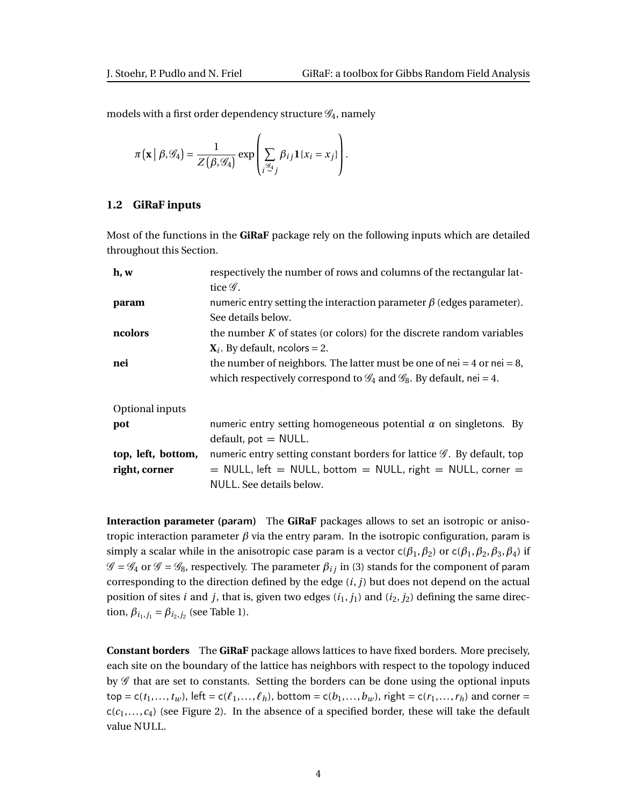models with a first order dependency structure  $\mathscr{G}_4$ , namely

$$
\pi(\mathbf{x} \mid \beta, \mathscr{G}_4) = \frac{1}{Z(\beta, \mathscr{G}_4)} \exp \left( \sum_{i \stackrel{\mathscr{G}_4}{\sim} j} \beta_{ij} \mathbf{1} \{x_i = x_j\} \right).
$$

#### <span id="page-3-0"></span>**1.2 GiRaF inputs**

Most of the functions in the **GiRaF** package rely on the following inputs which are detailed throughout this Section.

| h, w               | respectively the number of rows and columns of the rectangular lat-                         |  |  |  |  |
|--------------------|---------------------------------------------------------------------------------------------|--|--|--|--|
|                    | tice $\mathscr G$ .                                                                         |  |  |  |  |
| param              | numeric entry setting the interaction parameter $\beta$ (edges parameter).                  |  |  |  |  |
|                    | See details below.                                                                          |  |  |  |  |
| ncolors            | the number $K$ of states (or colors) for the discrete random variables                      |  |  |  |  |
|                    | $X_i$ . By default, ncolors = 2.                                                            |  |  |  |  |
| nei                | the number of neighbors. The latter must be one of nei = 4 or nei = 8,                      |  |  |  |  |
|                    | which respectively correspond to $\mathcal{G}_4$ and $\mathcal{G}_8$ . By default, nei = 4. |  |  |  |  |
| Optional inputs    |                                                                                             |  |  |  |  |
| pot                | numeric entry setting homogeneous potential $\alpha$ on singletons. By                      |  |  |  |  |
|                    | $default, pot = NULL.$                                                                      |  |  |  |  |
| top, left, bottom, | numeric entry setting constant borders for lattice $\mathscr G$ . By default, top           |  |  |  |  |
| right, corner      | $=$ NULL, left $=$ NULL, bottom $=$ NULL, right $=$ NULL, corner $=$                        |  |  |  |  |
|                    | NULL. See details below.                                                                    |  |  |  |  |

<span id="page-3-1"></span>**Interaction parameter (**param**)** The **GiRaF** packages allows to set an isotropic or anisotropic interaction parameter  $β$  via the entry param. In the isotropic configuration, param is simply a scalar while in the anisotropic case param is a vector  $c(\beta_1, \beta_2)$  or  $c(\beta_1, \beta_2, \beta_3, \beta_4)$  if  $\mathscr{G} = \mathscr{G}_4$  or  $\mathscr{G} = \mathscr{G}_8$ , respectively. The parameter  $\beta_{ij}$  in [\(3\)](#page-2-1) stands for the component of param corresponding to the direction defined by the edge (*i*, *j*) but does not depend on the actual position of sites *i* and *j*, that is, given two edges  $(i_1, j_1)$  and  $(i_2, j_2)$  defining the same direction,  $\beta_{i_1,j_1} = \beta_{i_2,j_2}$  (see Table [1\)](#page-4-2).

<span id="page-3-2"></span>**Constant borders** The **GiRaF** package allows lattices to have fixed borders. More precisely, each site on the boundary of the lattice has neighbors with respect to the topology induced by  $\mathscr G$  that are set to constants. Setting the borders can be done using the optional inputs  $top = c(t_1,...,t_w)$ , left =  $c(\ell_1,...,\ell_h)$ , bottom =  $c(b_1,...,b_w)$ , right =  $c(r_1,...,r_h)$  and corner =  $c(c_1,...,c_4)$  (see Figure [2\)](#page-5-0). In the absence of a specified border, these will take the default value NULL.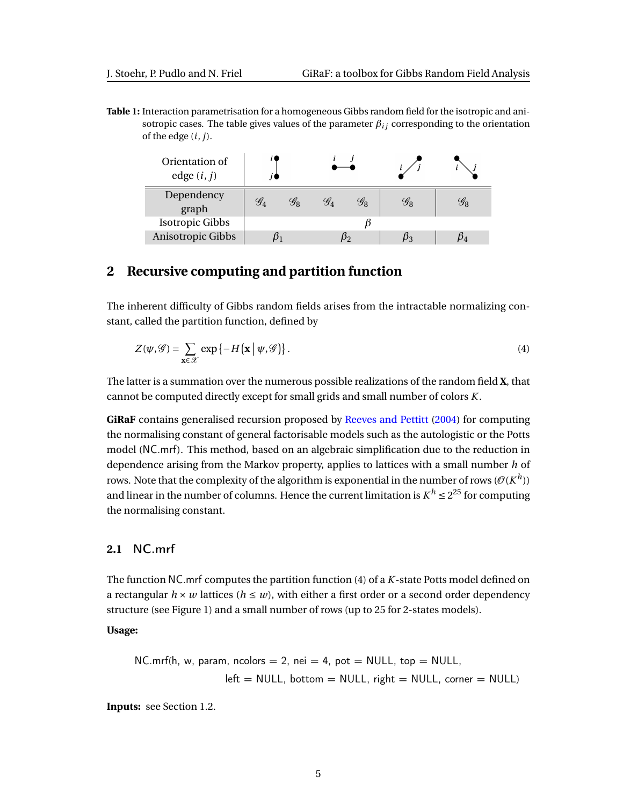<span id="page-4-2"></span>**Table 1:** Interaction parametrisation for a homogeneous Gibbs random field for the isotropic and anisotropic cases. The table gives values of the parameter  $\beta_{ij}$  corresponding to the orientation of the edge (*i*, *j*).

| Orientation of<br>edge $(i, j)$ |                       |                 |  |                        |                 |                                                |
|---------------------------------|-----------------------|-----------------|--|------------------------|-----------------|------------------------------------------------|
| Dependency<br>graph             | $\mathscr{G}_\Lambda$ | $\mathscr{G}_8$ |  | $\mathscr{G}_{\Omega}$ | $\mathscr{G}_8$ | $\mathscr{G}_{\scriptscriptstyle{\mathsf{R}}}$ |
| <b>Isotropic Gibbs</b>          |                       |                 |  |                        |                 |                                                |
| Anisotropic Gibbs               |                       |                 |  |                        |                 |                                                |

# <span id="page-4-0"></span>**2 Recursive computing and partition function**

The inherent difficulty of Gibbs random fields arises from the intractable normalizing constant, called the partition function, defined by

<span id="page-4-3"></span>
$$
Z(\psi,\mathscr{G}) = \sum_{\mathbf{x}\in\mathscr{X}} \exp\left\{-H\left(\mathbf{x} \mid \psi,\mathscr{G}\right)\right\}.
$$
 (4)

The latter is a summation over the numerous possible realizations of the random field **X**, that cannot be computed directly except for small grids and small number of colors *K*.

**GiRaF** contains generalised recursion proposed by [Reeves and Pettitt](#page-10-2) [\(2004\)](#page-10-2) for computing the normalising constant of general factorisable models such as the autologistic or the Potts model ([NC.mrf](#page-4-1)). This method, based on an algebraic simplification due to the reduction in dependence arising from the Markov property, applies to lattices with a small number *h* of rows. Note that the complexity of the algorithm is exponential in the number of rows ( $\mathcal{O}(K^h)$ ) and linear in the number of columns. Hence the current limitation is  $K^h \leq 2^{25}$  for computing the normalising constant.

### <span id="page-4-1"></span>**2.1** NC.mrf

The function NC.mrf computes the partition function [\(4\)](#page-4-3) of a *K*-state Potts model defined on a rectangular  $h \times w$  lattices ( $h \leq w$ ), with either a first order or a second order dependency structure (see Figure [1\)](#page-2-0) and a small number of rows (up to 25 for 2-states models).

#### **Usage:**

NC.mrf(h, w, param, ncolors = 2, nei = 4, pot = NULL, top = NULL, left = NULL, bottom = NULL, right = NULL, corner = NULL)

**Inputs:** see Section [1.2.](#page-3-0)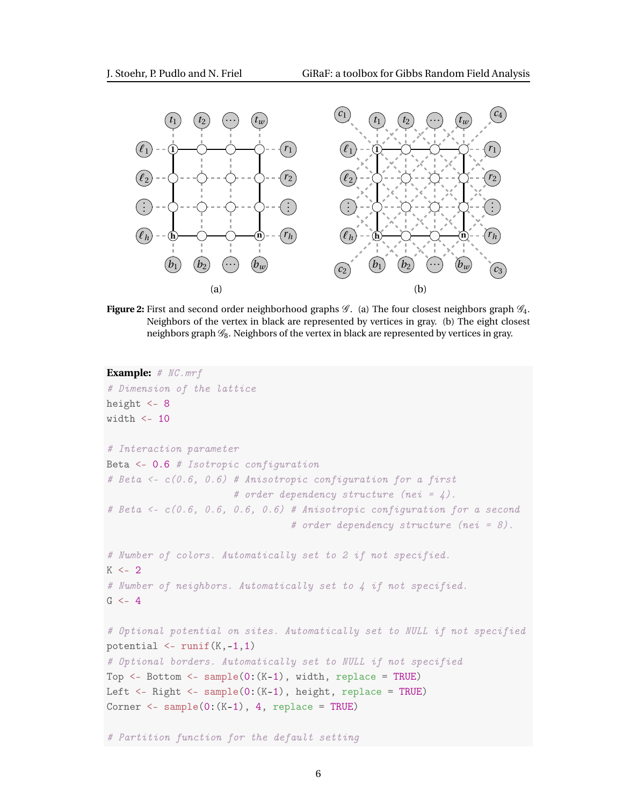<span id="page-5-0"></span>

**Figure 2:** First and second order neighborhood graphs  $\mathscr{G}$ . (a) The four closest neighbors graph  $\mathscr{G}_4$ . Neighbors of the vertex in black are represented by vertices in gray. (b) The eight closest neighbors graph  $\mathscr{G}_8$ . Neighbors of the vertex in black are represented by vertices in gray.

```
Example: # NC.mrf
# Dimension of the lattice
height <-8width \langle -10 \rangle# Interaction parameter
Beta <- 0.6 # Isotropic configuration
# Beta <- c(0.6, 0.6) # Anisotropic configuration for a first
                      # order dependency structure (nei = \angle).
# Beta <- c(0.6, 0.6, 0.6, 0.6) # Anisotropic configuration for a second
                                 # order dependency structure (nei = 8).
# Number of colors. Automatically set to 2 if not specified.
K < -2# Number of neighbors. Automatically set to 4 if not specified.
G < -4# Optional potential on sites. Automatically set to NULL if not specified
potential \leq runif(K,-1,1)
# Optional borders. Automatically set to NULL if not specified
Top \leq- Bottom \leq- sample(0:(K-1), width, replace = TRUE)
Left <- Right <- sample(0:(K-1), height, replace = TRUE)
Corner \leq sample(0:(K-1), 4, replace = TRUE)
```
# Partition function for the default setting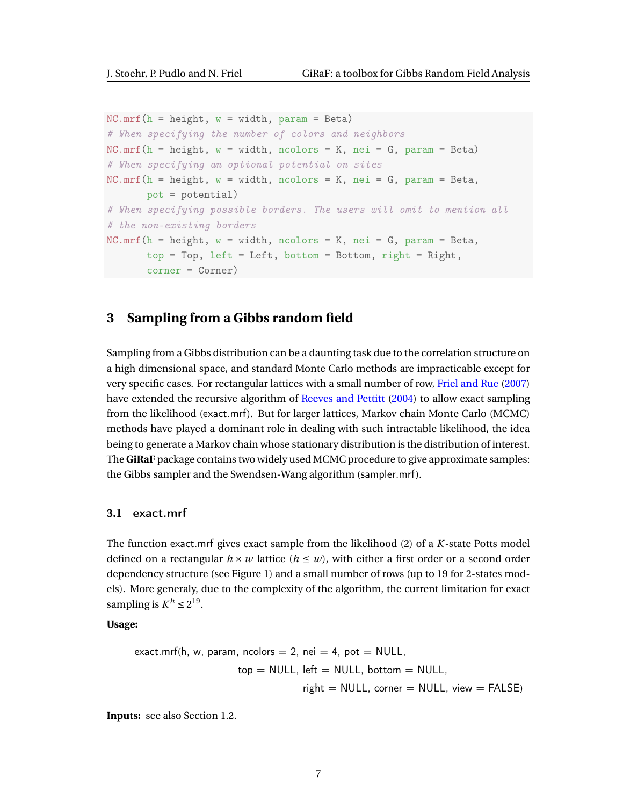```
NC.mrf(h = height, w = width, param = Beta)# When specifying the number of colors and neighbors
NC.mrf(h = height, w = width, ncolors = K, nei = G, param = Beta)# When specifying an optional potential on sites
NC.mrf(h = height, w = width, ncolors = K, nei = G, param = Beta,pot = potential)
# When specifying possible borders. The users will omit to mention all
# the non-existing borders
NC.mrf(h = height, w = width, ncolors = K, nei = G, param = Beta,top = Top, left = Left, bottom = Bottom, right = Right,
       corner = Corner)
```
# <span id="page-6-0"></span>**3 Sampling from a Gibbs random field**

Sampling from a Gibbs distribution can be a daunting task due to the correlation structure on a high dimensional space, and standard Monte Carlo methods are impracticable except for very specific cases. For rectangular lattices with a small number of row, [Friel and Rue](#page-10-3) [\(2007\)](#page-10-3) have extended the recursive algorithm of [Reeves and Pettitt](#page-10-2) [\(2004\)](#page-10-2) to allow exact sampling from the likelihood ([exact.mrf](#page-6-1)). But for larger lattices, Markov chain Monte Carlo (MCMC) methods have played a dominant role in dealing with such intractable likelihood, the idea being to generate a Markov chain whose stationary distribution is the distribution of interest. The **GiRaF** package contains two widely used MCMC procedure to give approximate samples: the Gibbs sampler and the Swendsen-Wang algorithm ([sampler.mrf](#page-8-0)).

#### <span id="page-6-1"></span>**3.1** exact.mrf

The function exact.mrf gives exact sample from the likelihood [\(2\)](#page-2-2) of a *K*-state Potts model defined on a rectangular  $h \times w$  lattice  $(h \leq w)$ , with either a first order or a second order dependency structure (see Figure [1\)](#page-2-0) and a small number of rows (up to 19 for 2-states models). More generaly, due to the complexity of the algorithm, the current limitation for exact sampling is  $K^h \leq 2^{19}$ .

**Usage:**

$$
\begin{aligned} \text{exact.mrf(h, w, param, ncolors} &= 2, \text{ nei} = 4, \text{ pot} = \text{NULL}, \\ \text{top} &= \text{NULL}, \text{ left} = \text{NULL}, \text{ bottom} = \text{NULL}, \\ \text{right} &= \text{NULL}, \text{corner} = \text{NULL}, \text{ view} = \text{FALSE} \end{aligned}
$$

**Inputs:** see also Section [1.2.](#page-3-0)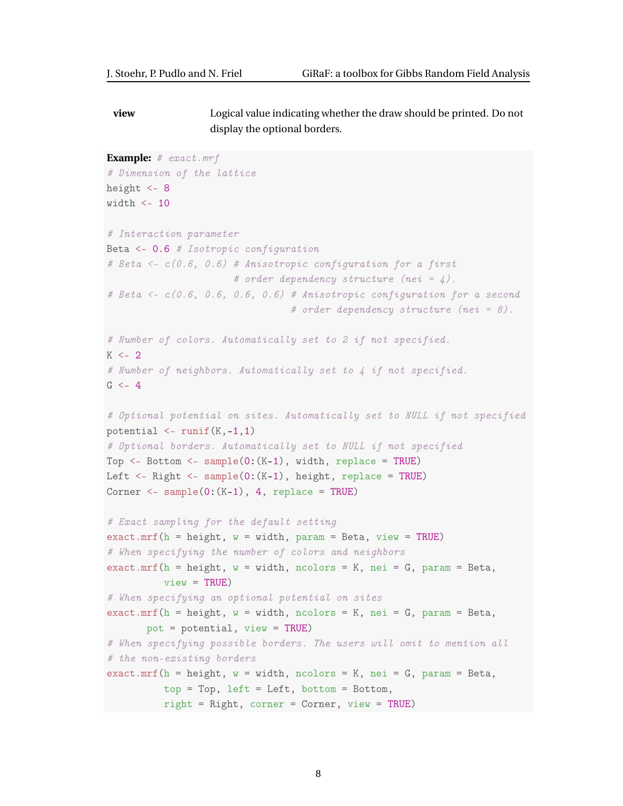**view** Logical value indicating whether the draw should be printed. Do not display the optional borders.

```
Example: # exact.mrf
# Dimension of the lattice
height <-8width \leq 10
# Interaction parameter
Beta \leq -0.6 # Isotropic configuration
# Beta <- c(0.6, 0.6) # Anisotropic configuration for a first
                       # order dependency structure (nei = 4).
# Beta <- c(0.6, 0.6, 0.6, 0.6) # Anisotropic configuration for a second
                                  # order dependency structure (nei = 8).
# Number of colors. Automatically set to 2 if not specified.
K < -2# Number of neighbors. Automatically set to 4 if not specified.
G < -4# Optional potential on sites. Automatically set to NULL if not specified
potential \leq runif(K,-1,1)
# Optional borders. Automatically set to NULL if not specified
Top \leq- Bottom \leq- sample(0:(K-1)), width, replace = TRUE)
Left \leq- Right \leq- sample(0:(K-1), height, replace = TRUE)
Corner \leq sample(0: (K-1), 4, replace = TRUE)
# Exact sampling for the default setting
\text{exact.mrf}(h = \text{height}, w = \text{width}, \text{param} = \text{Beta}, \text{view} = \text{TRUE})# When specifying the number of colors and neighbors
exact.mrf(h = height, w = width, ncolors = K, nei = G, param = Beta,
          view = TRUE)
# When specifying an optional potential on sites
exact.mrf(h = height, w = width, ncolors = K, nei = G, param = Beta,
       pot = potential, view = TRUE)
# When specifying possible borders. The users will omit to mention all
# the non-existing borders
exact.mrf(h = height, w = width, ncolors = K, nei = G, param = Beta,
          top = Top, left = Left, bottom = Bottom,
          right = Right, corner = Corner, view = TRUE)
```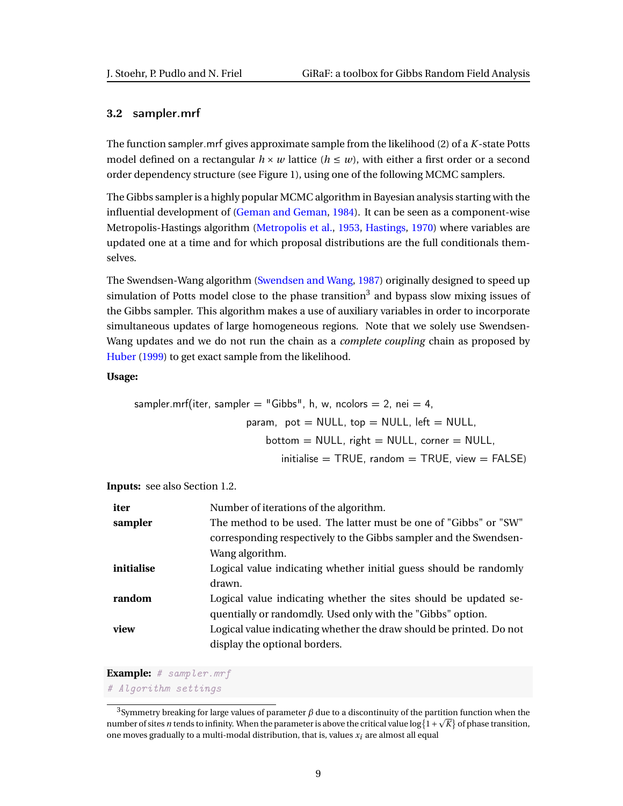#### <span id="page-8-0"></span>**3.2** sampler.mrf

The function sampler.mrf gives approximate sample from the likelihood [\(2\)](#page-2-2) of a *K*-state Potts model defined on a rectangular  $h \times w$  lattice ( $h \leq w$ ), with either a first order or a second order dependency structure (see Figure [1\)](#page-2-0), using one of the following MCMC samplers.

The Gibbs sampler is a highly popular MCMC algorithm in Bayesian analysis starting with the influential development of [\(Geman and Geman,](#page-10-6) [1984\)](#page-10-6). It can be seen as a component-wise Metropolis-Hastings algorithm [\(Metropolis et al.,](#page-10-7) [1953,](#page-10-7) [Hastings,](#page-10-8) [1970\)](#page-10-8) where variables are updated one at a time and for which proposal distributions are the full conditionals themselves.

The Swendsen-Wang algorithm [\(Swendsen and Wang,](#page-10-9) [1987\)](#page-10-9) originally designed to speed up simulation of Potts model close to the phase transition<sup>[3](#page-0-0)</sup> and bypass slow mixing issues of the Gibbs sampler. This algorithm makes a use of auxiliary variables in order to incorporate simultaneous updates of large homogeneous regions. Note that we solely use Swendsen-Wang updates and we do not run the chain as a *complete coupling* chain as proposed by [Huber](#page-10-10) [\(1999\)](#page-10-10) to get exact sample from the likelihood.

#### **Usage:**

\n
$$
\text{sampler.mrf(iter, sampler = "Gibbs", h, w, ncolors = 2, nei = 4, \quad \text{param, pot = NULL, top = NULL, left = NULL, \quad \text{bottom = NULL, right = NULL, corner = NULL, \quad \text{initialise = TRUE, random = TRUE, view = FALSE)}
$$
\n

**Inputs:** see also Section [1.2.](#page-3-0)

| iter       | Number of iterations of the algorithm.                              |
|------------|---------------------------------------------------------------------|
| sampler    | The method to be used. The latter must be one of "Gibbs" or "SW"    |
|            | corresponding respectively to the Gibbs sampler and the Swendsen-   |
|            | Wang algorithm.                                                     |
| initialise | Logical value indicating whether initial guess should be randomly   |
|            | drawn.                                                              |
| random     | Logical value indicating whether the sites should be updated se-    |
|            | quentially or randomdly. Used only with the "Gibbs" option.         |
| view       | Logical value indicating whether the draw should be printed. Do not |
|            | display the optional borders.                                       |

#### **Example:** # sampler.mrf

# Algorithm settings

 $^3$ Symmetry breaking for large values of parameter  $\beta$  due to a discontinuity of the partition function when the number of sites *n* tends to infinity. When the parameter is above the critical value  $\log\{1+\sqrt{K}\}$  of phase transition, one moves gradually to a multi-modal distribution, that is, values *xi* are almost all equal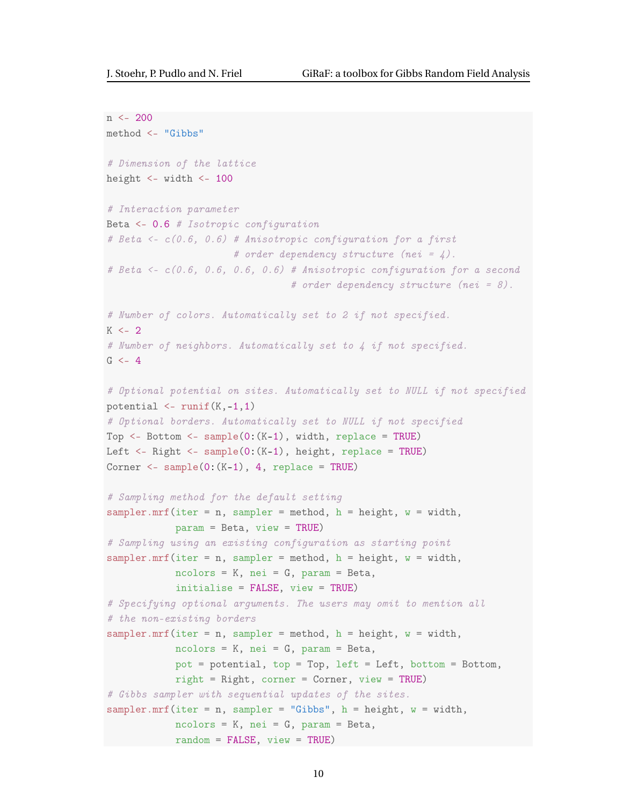```
n <- 200
method <- "Gibbs"
# Dimension of the lattice
height <- width <- 100
# Interaction parameter
Beta <- 0.6 # Isotropic configuration
# Beta <- c(0.6, 0.6) # Anisotropic configuration for a first
                      # order dependency structure (nei = \angle).
# Beta <- c(0.6, 0.6, 0.6, 0.6) # Anisotropic configuration for a second
                                 # order dependency structure (nei = 8).
# Number of colors. Automatically set to 2 if not specified.
K < -2# Number of neighbors. Automatically set to 4 if not specified.
G < -4# Optional potential on sites. Automatically set to NULL if not specified
potential \leq runif(K,-1,1)
# Optional borders. Automatically set to NULL if not specified
Top \leq- Bottom \leq- sample(0:(K-1), width, replace = TRUE)
Left <- Right <- sample(0:(K-1), height, replace = TRUE)
Corner \leq sample(0:(K-1), 4, replace = TRUE)
# Sampling method for the default setting
sampler.mrf(iter = n, sampler = method, h = height, w = width,
            param = Beta, view = TRUE)
# Sampling using an existing configuration as starting point
sampler.mrf(iter = n, sampler = method, h = height, w = width,
            ncolors = K, nei = G, param = Beta,
            initialise = FALSE, view = TRUE)
# Specifying optional arguments. The users may omit to mention all
# the non-existing borders
sampler.mrf(iter = n, sampler = method, h = height, w = width,
            ncolors = K, nei = G, param = Beta,
            pot = potential, top = Top, left = Left, bottom = Bottom,
            right = Right, corner = Corner, view = TRUE)
# Gibbs sampler with sequential updates of the sites.
sampler.mrf(iter = n, sampler = "Gibbs", h = height, w = width,
            ncolors = K, nei = G, param = Beta,
            random = FALSE, view = TRUE)
```